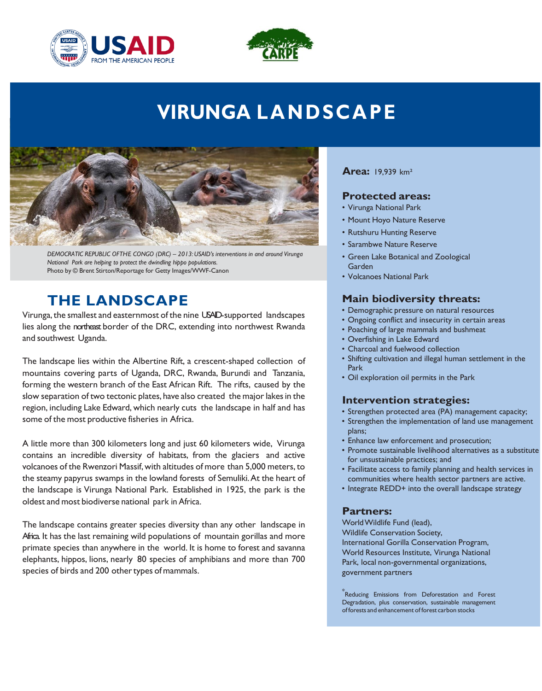



# **VIRUNGA LA NDS C APE**



 *DEMOCRATIC REPUBLIC OFTHE CONGO (DRC) – 2013: USAID's interventions in and around Virunga National Park are helping to protect the dwindling hippo populations.*  Photo by © Brent Stirton/Reportage for Getty Images/WWF-Canon

# **THE LANDSCAPE**

Virunga, the smallest and easternmost of the nine USAD-supported landscapes lies along the northeast border of the DRC, extending into northwest Rwanda and southwest Uganda.

 The landscape lies within the Albertine Rift, a crescent-shaped collection of mountains covering parts of Uganda, DRC, Rwanda, Burundi and Tanzania, forming the western branch of the East African Rift. The rifts, caused by the slow separation of two tectonic plates, have also created the major lakes in the region, including Lake Edward, which nearly cuts the landscape in half and has some of the most productive fisheries in Africa.

 A little more than 300 kilometers long and just 60 kilometers wide, Virunga contains an incredible diversity of habitats, from the glaciers and active volcanoes of the Rwenzori Massif, with altitudes of more than 5,000 meters, to the steamy papyrus swamps in the lowland forests of Semuliki.At the heart of the landscape is Virunga National Park. Established in 1925, the park is the oldest and most biodiverse national park in Africa.

 The landscape contains greater species diversity than any other landscape in Africa. It has the last remaining wild populations of mountain gorillas and more primate species than anywhere in the world. It is home to forest and savanna elephants, hippos, lions, nearly 80 species of amphibians and more than 700 species of birds and 200 other types of mammals.

### **Area:** 19,939 km²

### **Protected areas:**

- Virunga National Park
- Mount Hoyo Nature Reserve
- Rutshuru Hunting Reserve
- Sarambwe Nature Reserve
- • Green Lake Botanical and Zoological Garden
- Volcanoes National Park

# **Main biodiversity threats:**

- Demographic pressure on natural resources
- Ongoing conflict and insecurity in certain areas
- Poaching of large mammals and bushmeat
- Overfishing in Lake Edward
- Charcoal and fuelwood collection
- Park • Shifting cultivation and illegal human settlement in the
- Oil exploration oil permits in the Park

# **Intervention strategies:**

- Strengthen protected area (PA) management capacity;
- Strengthen the implementation of land use management plans;
- Enhance law enforcement and prosecution;
- for unsustainable practices; and • Promote sustainable livelihood alternatives as a substitute
- • Facilitate access to family planning and health services in communities where health sector partners are active.
- Integrate REDD+ into the overall landscape strategy

# **Partners:**

 WorldWildlife Fund (lead), International Gorilla Conservation Program, World Resources Institute, Virunga National Wildlife Conservation Society, Park, local non-governmental organizations, government partners

 $\rm{ }^*$ Reducing Emissions from Deforestation and Forest Degradation, plus conservation, sustainable management of forests and enhancement of forest carbon stocks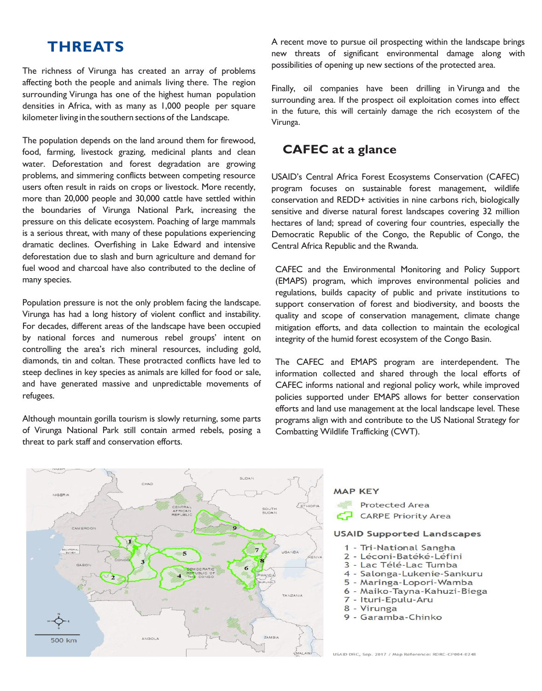The richness of Virunga has created an array of problems affecting both the people and animals living there. The region surrounding Virunga has one of the highest human population densities in Africa, with as many as 1,000 people per square kilometer living in the southern sections of the Landscape.

 The population depends on the land around them for firewood, food, farming, livestock grazing, medicinal plants and clean problems, and simmering conflicts between competing resource users often result in raids on crops or livestock. More recently, more than 20,000 people and 30,000 cattle have settled within the boundaries of Virunga National Park, increasing the pressure on this delicate ecosystem. Poaching of large mammals is a serious threat, with many of these populations experiencing dramatic declines. Overfishing in Lake Edward and intensive deforestation due to slash and burn agriculture and demand for fuel wood and charcoal have also contributed to the decline of many species. **THREATS**<br>
Frechmens of Virunga has created an array of problems<br>
new threast of signing<br>
ercting both the people and animals living there. The region<br>
recounding Virunga has one of the highest human population (Finally, o water. Deforestation and forest degradation are growing

 Population pressure is not the only problem facing the landscape. Virunga has had a long history of violent conflict and instability. For decades, different areas of the landscape have been occupied by national forces and numerous rebel groups' intent on controlling the area's rich mineral resources, including gold, diamonds, tin and coltan. These protracted conflicts have led to steep declines in key species as animals are killed for food or sale, and have generated massive and unpredictable movements of refugees. refugees.<br>Although mountain gorilla tourism is slowly returning, some parts

 of Virunga National Park still contain armed rebels, posing a threat to park staff and conservation efforts.

 A recent move to pursue oil prospecting within the landscape brings new threats of significant environmental damage along with possibilities of opening up new sections of the protected area.

 Finally, oil companies have been drilling in Virunga and the surrounding area. If the prospect oil exploitation comes into effect in the future, this will certainly damage the rich ecosystem of the Virunga.

# **CAFEC at a glance**

 USAID's Central Africa Forest Ecosystems Conservation (CAFEC) program focuses on sustainable forest management, wildlife conservation and REDD+ activities in nine carbons rich, biologically sensitive and diverse natural forest landscapes covering 32 million hectares of land; spread of covering four countries, especially the Democratic Republic of the Congo, the Republic of Congo, the Central Africa Republic and the Rwanda.

 CAFEC and the Environmental Monitoring and Policy Support (EMAPS) program, which improves environmental policies and regulations, builds capacity of public and private institutions to support conservation of forest and biodiversity, and boosts the quality and scope of conservation management, climate change mitigation efforts, and data collection to maintain the ecological integrity of the humid forest ecosystem of the Congo Basin.

 The CAFEC and EMAPS program are interdependent. The information collected and shared through the local efforts of CAFEC informs national and regional policy work, while improved policies supported under EMAPS allows for better conservation efforts and land use management at the local landscape level. These programs align with and contribute to the US National Strategy for Combatting Wildlife Trafficking (CWT).



#### **MAP KEY**

**Protected Area CARPE Priority Area** 

#### **USAID Supported Landscapes**

- 1 Tri-National Sangha
- 2 Léconi-Batéké-Léfini
- 3 Lac Télé-Lac Tumba
- 4 Salonga-Lukenie-Sankuru
- 5 Maringa-Lopori-Wamba
- 6 Maiko-Tayna-Kahuzi-Biega
- 7 Ituri-Epulu-Aru
- 8 Virunga
- 9 Garamba-Chinko

USAID DRC, Sep. 2017 / Map Reference: RDRC-CP004-0248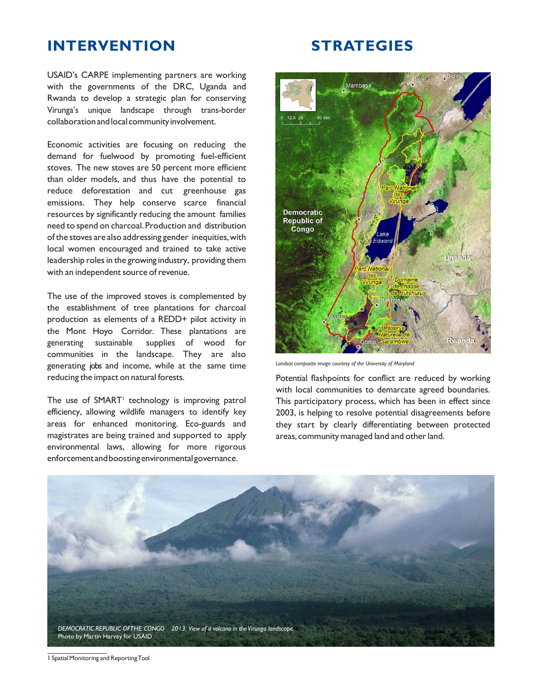# **INTERVENTION STRATEGIES**

 USAID's CARPE implementing partners are working with the governments of the DRC, Uganda and Rwanda to develop a strategic plan for conserving Virunga's unique landscape through trans-border collaboration and local community involvement.

 Economic activities are focusing on reducing the demand for fuelwood by promoting fuel-efficient stoves. The new stoves are 50 percent more efficient than older models, and thus have the potential to reduce deforestation and cut greenhouse gas emissions. They help conserve scarce financial resources by significantly reducing the amount families need to spend on charcoal. Production and distribution of the stoves are also addressing gender inequities, with local women encouraged and trained to take active leadership roles in the growing industry, providing them with an independent source of revenue.

 The use of the improved stoves is complemented by the establishment of tree plantations for charcoal production as elements of a REDD+ pilot activity in the Mont Hoyo Corridor. These plantations are supplies of wood communities in the landscape. They are also generating jobs and income, while at the same time **Landsat composite image courtesy of the University** of Maryland reducing the impact on natural forests. reducing the impact on natural forests. The state of the section of Potential flashpoints for conflict are reduced by working generating sustainable supplies of wood for

The use of SMART<sup>1</sup> technology is improving patrol efficiency, allowing wildlife managers to identify key areas for enhanced monitoring. Eco-guards and magistrates are being trained and supported to apply areas, community managed land and other land. environmental laws, allowing for more rigorous enforcementandboostingenvironmentalgovernance.



Landsat composite image courtesy of the University of Maryland

 with local communities to demarcate agreed boundaries. The use of SMART<sup>1</sup> technology is improving patrol This participatory process, which has been in effect since efficiency, allowing wildlife managers to identify key 2003, is helping to resolve potential disagreements before areas for enhanced monitoring. Eco-guards and they start by clearly differentiating between protected areas, community managed land and other land.



1 Spatial Monitoring and ReportingTool